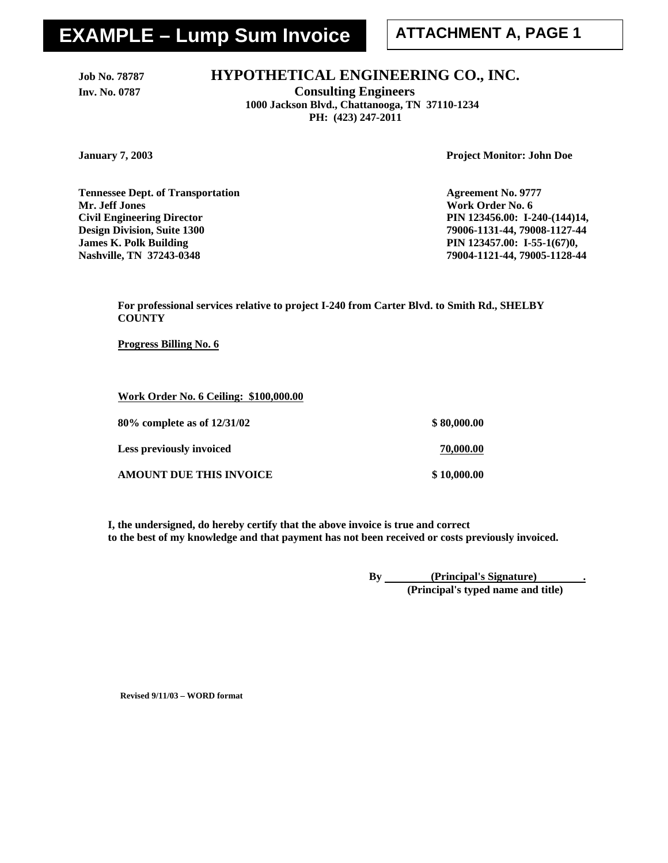# **EXAMPLE – Lump Sum Invoice | ATTACHMENT A, PAGE 1**

## Job No. 78787 **HYPOTHETICAL ENGINEERING CO., INC.**

**Inv. No. 0787 Consulting Engineers 1000 Jackson Blvd., Chattanooga, TN 37110-1234 PH: (423) 247-2011** 

**January 7, 2003 Project Monitor: John Doe** 

**Tennessee Dept. of Transportation Agreement No. 9777 Mr. Jeff Jones Work Order No. 6 Work Order No. 6 Civil Engineering Director PIN 123456.00: I-240-(144)14, Design Division, Suite 1300 79006-1131-44, 79008-1127-44 James K. Polk Building PIN 123457.00: I-55-1(67)0, Nashville, TN 37243-0348 79004-1121-44, 79005-1128-44** 

**For professional services relative to project I-240 from Carter Blvd. to Smith Rd., SHELBY COUNTY** 

**Progress Billing No. 6**

**Work Order No. 6 Ceiling: \$100,000.00**

| 80\% complete as of 12/31/02   | \$80,000.00 |
|--------------------------------|-------------|
| Less previously invoiced       | 70,000.00   |
| <b>AMOUNT DUE THIS INVOICE</b> | \$10,000.00 |

**I, the undersigned, do hereby certify that the above invoice is true and correct to the best of my knowledge and that payment has not been received or costs previously invoiced.** 

> **By (Principal's Signature) . (Principal's typed name and title)**

**Revised 9/11/03 – WORD format**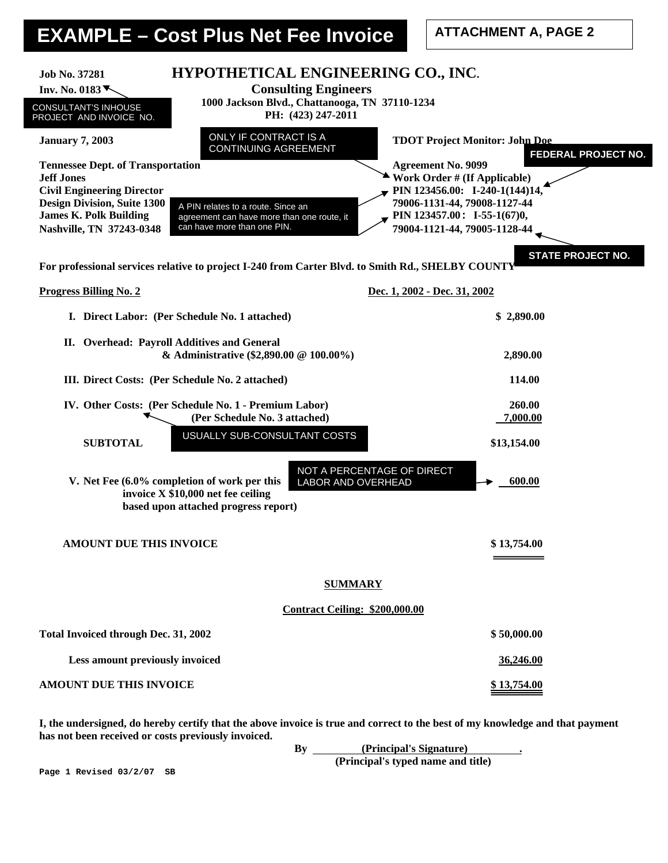# **EXAMPLE – Cost Plus Net Fee Invoice**

**ATTACHMENT A, PAGE 2** 

| HYPOTHETICAL ENGINEERING CO., INC.<br>Job No. 37281<br><b>Consulting Engineers</b><br>Inv. No. 0183 $\blacktriangledown$<br>1000 Jackson Blvd., Chattanooga, TN 37110-1234<br>CONSULTANT'S INHOUSE<br>PH: (423) 247-2011<br>PROJECT AND INVOICE NO.<br><b>ONLY IF CONTRACT IS A</b><br><b>January 7, 2003</b>                                           | <b>TDOT Project Monitor: John Doe</b>                                                                                                                                                                                                         |
|---------------------------------------------------------------------------------------------------------------------------------------------------------------------------------------------------------------------------------------------------------------------------------------------------------------------------------------------------------|-----------------------------------------------------------------------------------------------------------------------------------------------------------------------------------------------------------------------------------------------|
| <b>CONTINUING AGREEMENT</b><br><b>Tennessee Dept. of Transportation</b><br><b>Jeff Jones</b><br><b>Civil Engineering Director</b><br><b>Design Division, Suite 1300</b><br>A PIN relates to a route. Since an<br><b>James K. Polk Building</b><br>agreement can have more than one route, it<br>can have more than one PIN.<br>Nashville, TN 37243-0348 | FEDERAL PROJECT NO.<br><b>Agreement No. 9099</b><br>Work Order # (If Applicable)<br>PIN 123456.00: I-240-1(144)14,<br>79006-1131-44, 79008-1127-44<br>PIN 123457.00: I-55-1(67)0,<br>79004-1121-44, 79005-1128-44<br><b>STATE PROJECT NO.</b> |
| For professional services relative to project I-240 from Carter Blvd. to Smith Rd., SHELBY COUNTY                                                                                                                                                                                                                                                       |                                                                                                                                                                                                                                               |
| <b>Progress Billing No. 2</b>                                                                                                                                                                                                                                                                                                                           | Dec. 1, 2002 - Dec. 31, 2002                                                                                                                                                                                                                  |
| I. Direct Labor: (Per Schedule No. 1 attached)                                                                                                                                                                                                                                                                                                          | \$2,890.00                                                                                                                                                                                                                                    |
| II. Overhead: Payroll Additives and General<br>& Administrative (\$2,890.00 @ 100.00%)                                                                                                                                                                                                                                                                  | 2,890.00                                                                                                                                                                                                                                      |
| III. Direct Costs: (Per Schedule No. 2 attached)                                                                                                                                                                                                                                                                                                        | 114.00                                                                                                                                                                                                                                        |
| IV. Other Costs: (Per Schedule No. 1 - Premium Labor)<br>(Per Schedule No. 3 attached)                                                                                                                                                                                                                                                                  | 260.00<br>7,000.00                                                                                                                                                                                                                            |
| USUALLY SUB-CONSULTANT COSTS<br><b>SUBTOTAL</b>                                                                                                                                                                                                                                                                                                         | \$13,154.00                                                                                                                                                                                                                                   |
| V. Net Fee (6.0% completion of work per this<br>LABOR AND OVERHEAD<br>invoice X \$10,000 net fee ceiling<br>based upon attached progress report)                                                                                                                                                                                                        | NOT A PERCENTAGE OF DIRECT<br>600.00                                                                                                                                                                                                          |
| <b>AMOUNT DUE THIS INVOICE</b>                                                                                                                                                                                                                                                                                                                          | \$13,754.00                                                                                                                                                                                                                                   |
| <b>SUMMARY</b>                                                                                                                                                                                                                                                                                                                                          |                                                                                                                                                                                                                                               |
| <b>Contract Ceiling: \$200,000.00</b>                                                                                                                                                                                                                                                                                                                   |                                                                                                                                                                                                                                               |
| Total Invoiced through Dec. 31, 2002                                                                                                                                                                                                                                                                                                                    | \$50,000.00                                                                                                                                                                                                                                   |
| Less amount previously invoiced                                                                                                                                                                                                                                                                                                                         | 36,246.00                                                                                                                                                                                                                                     |
| <b>AMOUNT DUE THIS INVOICE</b>                                                                                                                                                                                                                                                                                                                          | <u>\$13,754.00</u>                                                                                                                                                                                                                            |
| I, the undersigned, do hereby certify that the above invoice is true and correct to the best of my knowledge and that payment<br>has not been received or costs previously invoiced.<br>By                                                                                                                                                              | (Principal's Signature)                                                                                                                                                                                                                       |

By <u>(Principal Solgname)</u><br>(Principal's typed name and title)

**Page 1 Revised 03/2/07 SB**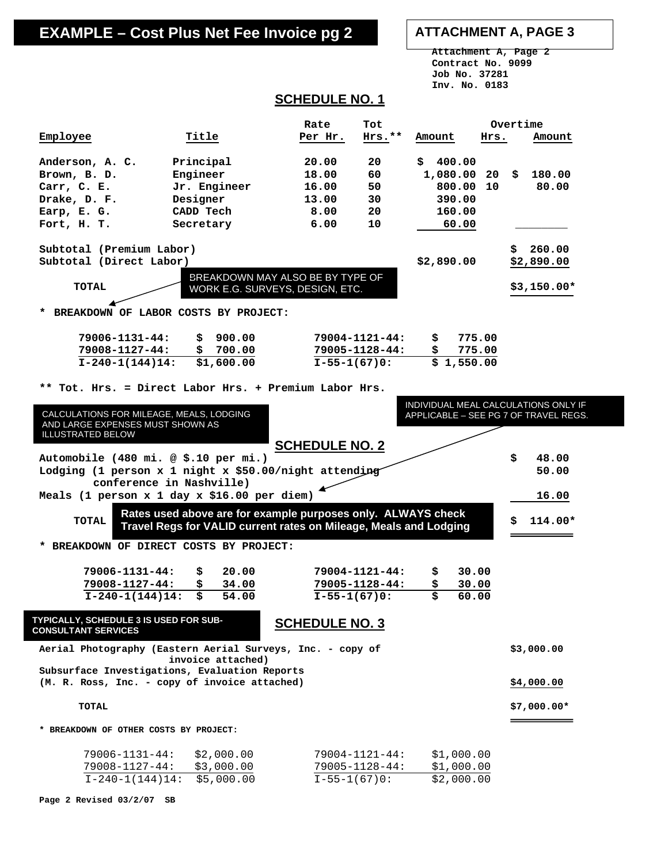## **EXAMPLE – Cost Plus Net Fee Invoice pg 2 ATTACHMENT A, PAGE 3**

 **Attachment A, Page 2 Contract No. 9099 Job No. 37281 Inv. No. 0183** 

## **SCHEDULE NO. 1**

|                                                                                                          |                                                                                                                                   | Rate                  | Tot                  |              |        | Overtime                                                                      |
|----------------------------------------------------------------------------------------------------------|-----------------------------------------------------------------------------------------------------------------------------------|-----------------------|----------------------|--------------|--------|-------------------------------------------------------------------------------|
| Employee                                                                                                 | Title                                                                                                                             | Per Hr.               | $Hrs.**$             | Amount       | Hrs.   | Amount                                                                        |
| Anderson, A. C.                                                                                          | Principal                                                                                                                         | 20.00                 | 20                   | 400.00<br>Ŝ. |        |                                                                               |
| Brown, B. D.                                                                                             | Engineer                                                                                                                          | 18.00                 | 60                   | 1,080.00     | 20     | \$<br>180.00                                                                  |
| Carr, C. E.                                                                                              | Jr. Engineer                                                                                                                      | 16.00                 | 50                   | 800.00       | 10     | 80.00                                                                         |
| Drake, D. F.                                                                                             | Designer                                                                                                                          | 13.00                 | 30                   | 390.00       |        |                                                                               |
| Earp, E. G.                                                                                              | CADD Tech                                                                                                                         | 8.00                  | 20                   | 160.00       |        |                                                                               |
| Fort, H. T.                                                                                              | Secretary                                                                                                                         | 6.00                  | 10                   | 60.00        |        |                                                                               |
| Subtotal (Premium Labor)<br>Subtotal (Direct Labor)<br><b>TOTAL</b>                                      | BREAKDOWN MAY ALSO BE BY TYPE OF<br>WORK E.G. SURVEYS, DESIGN, ETC.<br>BREAKDOWN OF LABOR COSTS BY PROJECT:                       |                       |                      | \$2,890.00   |        | \$.<br>260.00<br>\$2,890.00<br>$$3,150.00*$                                   |
|                                                                                                          |                                                                                                                                   |                       |                      |              |        |                                                                               |
| 79006-1131-44:                                                                                           | \$<br>900.00                                                                                                                      |                       | 79004-1121-44:       | \$.          | 775.00 |                                                                               |
| $79008 - 1127 - 44:$                                                                                     | \$<br>700.00                                                                                                                      |                       | $79005 - 1128 - 44:$ | \$           | 775.00 |                                                                               |
| $I-240-1(144)14:$                                                                                        | \$1,600.00                                                                                                                        |                       | $I-55-1(67)0:$       | \$1,550.00   |        |                                                                               |
|                                                                                                          | Tot. Hrs. = Direct Labor Hrs. + Premium Labor Hrs.                                                                                |                       |                      |              |        |                                                                               |
| CALCULATIONS FOR MILEAGE, MEALS, LODGING<br>AND LARGE EXPENSES MUST SHOWN AS<br><b>ILLUSTRATED BELOW</b> |                                                                                                                                   |                       |                      |              |        | INDIVIDUAL MEAL CALCULATIONS ONLY IF<br>APPLICABLE - SEE PG 7 OF TRAVEL REGS. |
|                                                                                                          |                                                                                                                                   | <b>SCHEDULE NO. 2</b> |                      |              |        |                                                                               |
| Automobile (480 mi. @ \$.10 per mi.)<br>Lodging (1 person x 1 night x \$50.00/night attending            |                                                                                                                                   |                       |                      |              |        | \$<br>48.00<br>50.00                                                          |
| Meals (1 person x 1 day x \$16.00 per diem)                                                              | conference in Nashville)                                                                                                          |                       |                      |              |        | 16.00                                                                         |
| TOTAL                                                                                                    | Rates used above are for example purposes only. ALWAYS check<br>Travel Regs for VALID current rates on Mileage, Meals and Lodging |                       |                      |              |        | \$<br>114.00*                                                                 |
| * BREAKDOWN OF DIRECT COSTS BY PROJECT:                                                                  |                                                                                                                                   |                       |                      |              |        |                                                                               |
| 79006-1131-44:                                                                                           | 20.00<br>\$                                                                                                                       |                       | $79004 - 1121 - 44:$ | \$           | 30.00  |                                                                               |
| 79008-1127-44:                                                                                           | \$<br>34.00                                                                                                                       |                       | $79005 - 1128 - 44:$ | \$           | 30.00  |                                                                               |
| $I-240-1(144)14:$                                                                                        | \$<br>54.00                                                                                                                       | $I-55-1(67)0:$        |                      | \$           | 60.00  |                                                                               |
| <b>TYPICALLY, SCHEDULE 3 IS USED FOR SUB-</b><br><b>CONSULTANT SERVICES</b>                              |                                                                                                                                   | <b>SCHEDULE NO. 3</b> |                      |              |        |                                                                               |
| Aerial Photography (Eastern Aerial Surveys, Inc. - copy of                                               | invoice attached)                                                                                                                 |                       |                      |              |        | \$3,000.00                                                                    |
| Subsurface Investigations, Evaluation Reports<br>(M. R. Ross, Inc. - copy of invoice attached)           |                                                                                                                                   |                       |                      |              |        | \$4,000.00                                                                    |
|                                                                                                          |                                                                                                                                   |                       |                      |              |        |                                                                               |
| <b>TOTAL</b>                                                                                             |                                                                                                                                   |                       |                      |              |        | $$7,000.00*$                                                                  |
| * BREAKDOWN OF OTHER COSTS BY PROJECT:                                                                   |                                                                                                                                   |                       |                      |              |        |                                                                               |
| 79006-1131-44:                                                                                           | \$2,000.00                                                                                                                        |                       | $79004 - 1121 - 44:$ | \$1,000.00   |        |                                                                               |
| 79008-1127-44:                                                                                           | \$3,000.00                                                                                                                        |                       | 79005-1128-44:       | \$1,000.00   |        |                                                                               |
| $I-240-1(144)14:$                                                                                        | \$5,000.00                                                                                                                        |                       | $I-55-1(67)0:$       | \$2,000.00   |        |                                                                               |

**Page 2 Revised 03/2/07 SB**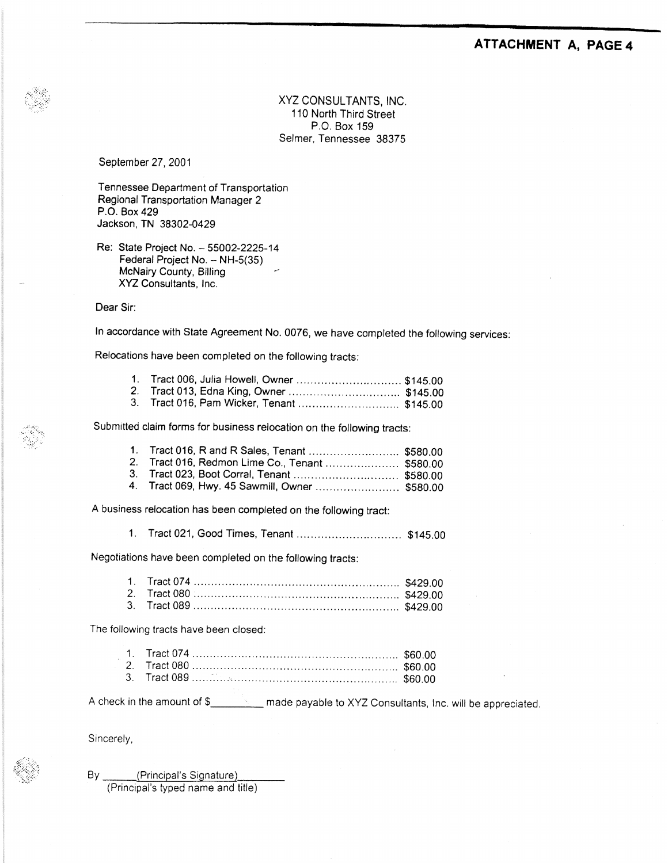#### ATTACHMENT A, PAGE 4

XYZ CONSULTANTS, INC. 110 North Third Street P.O. Box 159 Selmer, Tennessee 38375

September 27, 2001

Tennessee Department of Transportation Regional Transportation Manager 2 P.O. Box 429 Jackson, TN 38302-0429

Re: State Project No. - 55002-2225-14 Federal Project No. - NH-5(35) McNairy County, Billing XYZ Consultants, Inc.

Dear Sir:

In accordance with State Agreement No. 0076, we have completed the following services:

Relocations have been completed on the following tracts:

| 1. Tract 006, Julia Howell, Owner  \$145.00 |  |
|---------------------------------------------|--|
|                                             |  |
| 3. Tract 016, Pam Wicker, Tenant  \$145.00  |  |

Submitted claim forms for business relocation on the following tracts:

| 1. Tract 016, R and R Sales, Tenant  \$580.00   |  |
|-------------------------------------------------|--|
| 2. Tract 016, Redmon Lime Co., Tenant  \$580.00 |  |
|                                                 |  |
| 4. Tract 069, Hwy. 45 Sawmill, Owner  \$580.00  |  |

A business relocation has been completed on the following tract:

1. Tract 021, Good Times, Tenant .................................. \$145.00

Negotiations have been completed on the following tracts:

The following tracts have been closed:

A check in the amount of \$\_\_\_\_\_\_\_\_\_\_\_ made payable to XYZ Consultants, Inc. will be appreciated.

Sincerely,

By. (Principal's Signature) (Principal's typed name and title)

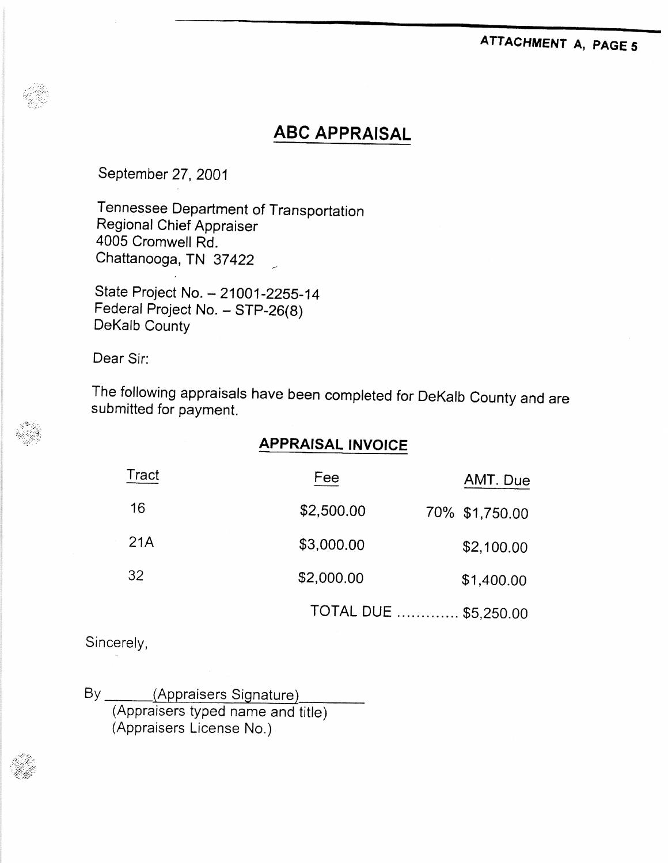## ATTACHMENT A, PAGE 5

## **ABC APPRAISAL**

September 27, 2001

Tennessee Department of Transportation Regional Chief Appraiser 4005 Cromwell Rd. Chattanooga, TN 37422

State Project No. - 21001-2255-14 Federal Project No. - STP-26(8) DeKalb County

Dear Sir:

The following appraisals have been completed for DeKalb County and are submitted for payment.

## **APPRAISAL INVOICE**

| Tract | Fee        | AMT. Due              |
|-------|------------|-----------------------|
| 16    | \$2,500.00 | 70% \$1,750.00        |
| 21A   | \$3,000.00 | \$2,100.00            |
| 32    | \$2,000.00 | \$1,400.00            |
|       |            | TOTAL DUE  \$5,250.00 |

Sincerely,

 $By$ <sub>--</sub> (Appraisers Signature) (Appraisers typed name and title) (Appraisers License No.)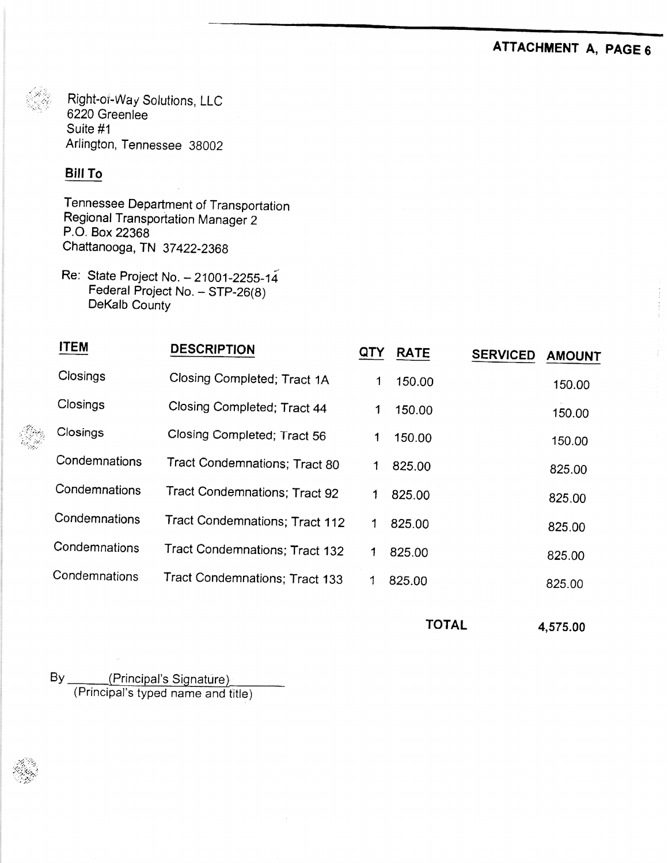## ATTACHMENT A, PAGE 6

Right-or-Way Solutions, LLC 6220 Greenlee Suite #1 Arlington, Tennessee 38002

## **Bill To**

Tennessee Department of Transportation Regional Transportation Manager 2 P.O. Box 22368 Chattanooga, TN 37422-2368

Re: State Project No. - 21001-2255-14 Federal Project No. - STP-26(8) DeKalb County

| <b>ITEM</b>   | <b>DESCRIPTION</b>             | QIY         | <b>RATE</b> | <b>SERVICED</b> | <b>AMOUNT</b> |
|---------------|--------------------------------|-------------|-------------|-----------------|---------------|
| Closings      | Closing Completed; Tract 1A    | 1           | 150.00      |                 | 150.00        |
| Closings      | Closing Completed; Tract 44    | 1           | 150.00      |                 | 150.00        |
| Closings      | Closing Completed; Tract 56    | 1           | 150.00      |                 | 150.00        |
| Condemnations | Tract Condemnations; Tract 80  | 1           | 825.00      |                 | 825.00        |
| Condemnations | Tract Condemnations; Tract 92  | 1           | 825.00      |                 | 825.00        |
| Condemnations | Tract Condemnations; Tract 112 | $\mathbf 1$ | 825.00      |                 | 825.00        |
| Condemnations | Tract Condemnations; Tract 132 |             | 825.00      |                 | 825.00        |
| Condemnations | Tract Condemnations; Tract 133 | 1           | 825.00      |                 | 825.00        |
|               |                                |             |             |                 |               |

**TOTAL** 

4,575.00

By (Principal's Signature)<br>(Principal's typed name and title)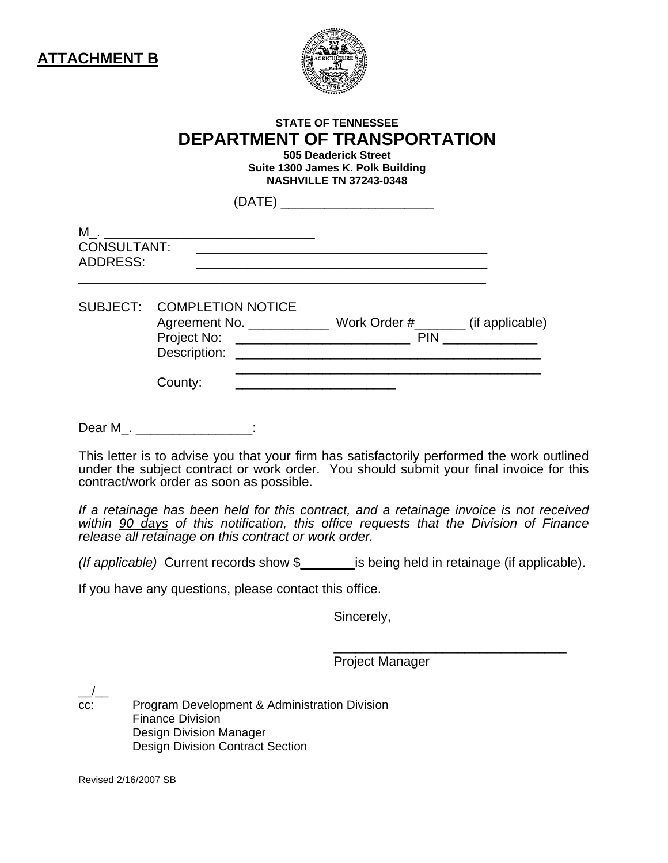

## **STATE OF TENNESSEE DEPARTMENT OF TRANSPORTATION**

**505 Deaderick Street Suite 1300 James K. Polk Building NASHVILLE TN 37243-0348** 

|                                |                            | (DATE) ____________________________                                                                                                                                                                                                                                                                 |  |
|--------------------------------|----------------------------|-----------------------------------------------------------------------------------------------------------------------------------------------------------------------------------------------------------------------------------------------------------------------------------------------------|--|
| CONSULTANT:<br><b>ADDRESS:</b> |                            |                                                                                                                                                                                                                                                                                                     |  |
|                                | SUBJECT: COMPLETION NOTICE | Agreement No. ______________ Work Order #________ (if applicable)<br>Description: Later and Contract and Contract and Contract and Contract and Contract and Contract and Contract and Contract and Contract and Contract and Contract and Contract and Contract and Contract and Contract and Cont |  |
|                                | County:                    |                                                                                                                                                                                                                                                                                                     |  |

Dear M\_. \_\_\_\_\_\_\_\_\_\_\_\_\_\_\_\_:

This letter is to advise you that your firm has satisfactorily performed the work outlined under the subject contract or work order. You should submit your final invoice for this contract/work order as soon as possible.

*If a retainage has been held for this contract, and a retainage invoice is not received within 90 days of this notification, this office requests that the Division of Finance release all retainage on this contract or work order.* 

*(If applicable)* Current records show \$\_\_\_\_\_\_\_ is being held in retainage (if applicable).

 $\frac{1}{\sqrt{2\pi}}$  ,  $\frac{1}{\sqrt{2\pi}}$  ,  $\frac{1}{\sqrt{2\pi}}$  ,  $\frac{1}{\sqrt{2\pi}}$  ,  $\frac{1}{\sqrt{2\pi}}$  ,  $\frac{1}{\sqrt{2\pi}}$  ,  $\frac{1}{\sqrt{2\pi}}$  ,  $\frac{1}{\sqrt{2\pi}}$  ,  $\frac{1}{\sqrt{2\pi}}$  ,  $\frac{1}{\sqrt{2\pi}}$  ,  $\frac{1}{\sqrt{2\pi}}$  ,  $\frac{1}{\sqrt{2\pi}}$  ,  $\frac{1}{\sqrt{2\pi}}$  ,

If you have any questions, please contact this office.

Sincerely,

Project Manager

 $\frac{\ }{\ }$ 

cc: Program Development & Administration Division Finance Division Design Division Manager Design Division Contract Section

Revised 2/16/2007 SB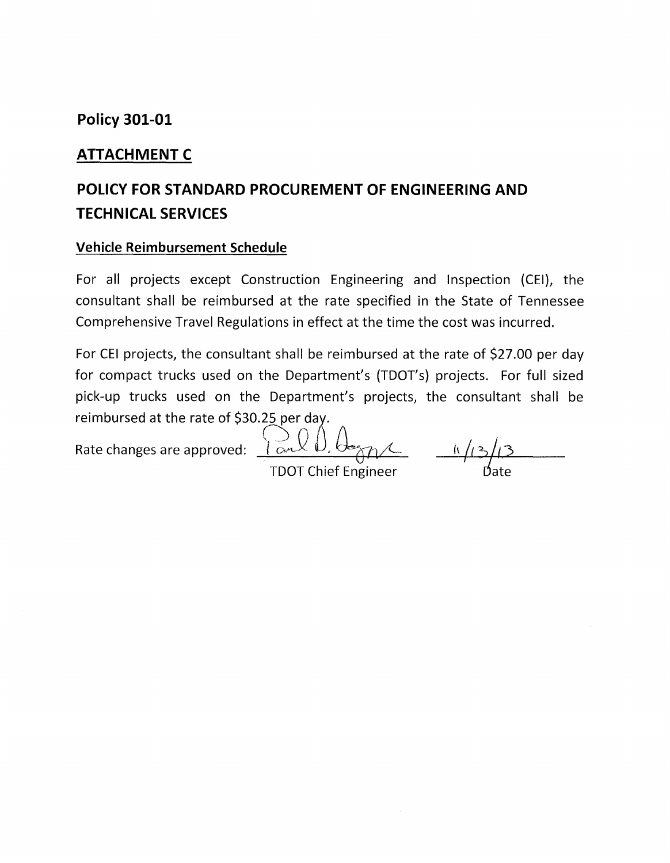## **Policy 301-01**

## **ATTACHMENT C**

## **POLICY FOR STANDARD PROCUREMENT OF ENGINEERING AND TECHNICAL SERVICES**

### **Vehicle Reimbursement Schedule**

For all projects except Construction Engineering and Inspection (CEI), the consultant shall be reimbursed at the rate specified in the State of Tennessee Comprehensive Travel Regulations in effect at the time the cost was incurred.

For CEI projects, the consultant shall be reimbursed at the rate of \$27.00 per day for compact trucks used on the Department's (TDOT's) projects. For full sized pick-up trucks used on the Department's projects, the consultant shall be reimbursed at the rate of \$30.25 per day.

Rate changes are approved:  $\sum_{\alpha}$ 

 $k/(3)$ 

**TDOT Chief Engineer**